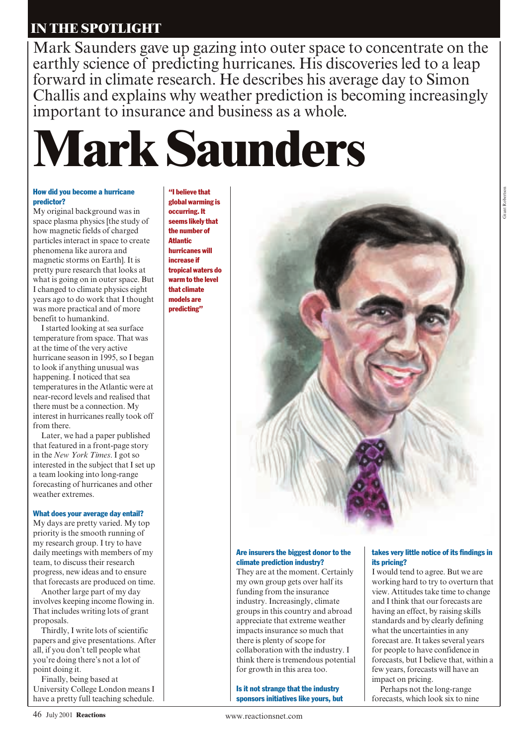# **IN THE SPOTLIGHT**

Mark Saunders gave up gazing into outer space to concentrate on the earthly science of predicting hurricanes. His discoveries led to a leap forward in climate research. He describes his average day to Simon Challis and explains why weather prediction is becoming increasingly important to insurance and business as a whole.



#### How did you become a hurricane predictor?

My original background was in space plasma physics [the study of how magnetic fields of charged particles interact in space to create phenomena like aurora and magnetic storms on Earth]. It is pretty pure research that looks at what is going on in outer space. But I changed to climate physics eight years ago to do work that I thought was more practical and of more benefit to humankind.

I started looking at sea surface temperature from space. That was at the time of the very active hurricane season in 1995, so I began to look if anything unusual was happening. I noticed that sea temperatures in the Atlantic were at near-record levels and realised that there must be a connection. My interest in hurricanes really took off from there.

Later, we had a paper published that featured in a front-page story in the *New York Times*. I got so interested in the subject that I set up a team looking into long-range forecasting of hurricanes and other weather extremes.

### What does your average day entail?

My days are pretty varied. My top priority is the smooth running of my research group. I try to have daily meetings with members of my team, to discuss their research progress, new ideas and to ensure that forecasts are produced on time.

Another large part of my day involves keeping income flowing in. That includes writing lots of grant proposals.

Thirdly, I write lots of scientific papers and give presentations. After all, if you don't tell people what you're doing there's not a lot of point doing it.

Finally, being based at University College London means I have a pretty full teaching schedule.

"I believe that global warming is occurring. It seems likely that the number of **Atlantic** hurricanes will increase if tropical waters do warm to the level that climate models are predicting"



#### Are insurers the biggest donor to the climate prediction industry?

They are at the moment. Certainly my own group gets over half its funding from the insurance industry. Increasingly, climate groups in this country and abroad appreciate that extreme weather impacts insurance so much that there is plenty of scope for collaboration with the industry. I think there is tremendous potential for growth in this area too.

Is it not strange that the industry sponsors initiatives like yours, but

#### takes very little notice of its findings in its pricing?

I would tend to agree. But we are working hard to try to overturn that view. Attitudes take time to change and I think that our forecasts are having an effect, by raising skills standards and by clearly defining what the uncertainties in any forecast are. It takes several years for people to have confidence in forecasts, but I believe that, within a few years, forecasts will have an impact on pricing.

Perhaps not the long-range forecasts, which look six to nine